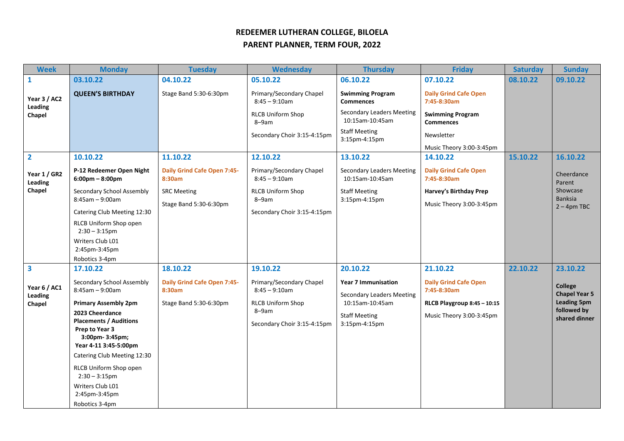## **REDEEMER LUTHERAN COLLEGE, BILOELA**

## **PARENT PLANNER, TERM FOUR, 2022**

| <b>Week</b>                       | <b>Monday</b>                                                 | <b>Tuesday</b>                               | <b>Wednesday</b>                             | <b>Thursday</b>                                                | <b>Friday</b>                               | <b>Saturday</b> | <b>Sunday</b>                          |
|-----------------------------------|---------------------------------------------------------------|----------------------------------------------|----------------------------------------------|----------------------------------------------------------------|---------------------------------------------|-----------------|----------------------------------------|
| $\mathbf{1}$                      | 03.10.22                                                      | 04.10.22                                     | 05.10.22                                     | 06.10.22                                                       | 07.10.22                                    | 08.10.22        | 09.10.22                               |
| Year 3 / AC2<br>Leading<br>Chapel | <b>QUEEN'S BIRTHDAY</b>                                       | Stage Band 5:30-6:30pm                       | Primary/Secondary Chapel<br>$8:45 - 9:10am$  | <b>Swimming Program</b><br><b>Commences</b>                    | <b>Daily Grind Cafe Open</b><br>7:45-8:30am |                 |                                        |
|                                   |                                                               |                                              | <b>RLCB Uniform Shop</b><br>8-9am            | <b>Secondary Leaders Meeting</b><br>10:15am-10:45am            | <b>Swimming Program</b><br><b>Commences</b> |                 |                                        |
|                                   |                                                               |                                              | Secondary Choir 3:15-4:15pm                  | <b>Staff Meeting</b><br>3:15pm-4:15pm                          | Newsletter                                  |                 |                                        |
|                                   |                                                               |                                              |                                              |                                                                | Music Theory 3:00-3:45pm                    |                 |                                        |
| $\overline{2}$                    | 10.10.22                                                      | 11.10.22                                     | 12.10.22                                     | 13.10.22                                                       | 14.10.22                                    | 15.10.22        | 16.10.22                               |
| Year 1 / GR2<br>Leading           | P-12 Redeemer Open Night<br>$6:00 \text{pm} - 8:00 \text{pm}$ | <b>Daily Grind Cafe Open 7:45-</b><br>8:30am | Primary/Secondary Chapel<br>$8:45 - 9:10$ am | <b>Secondary Leaders Meeting</b><br>10:15am-10:45am            | <b>Daily Grind Cafe Open</b><br>7:45-8:30am |                 | Cheerdance<br>Parent                   |
| Chapel                            | Secondary School Assembly                                     | <b>SRC Meeting</b>                           | <b>RLCB Uniform Shop</b>                     | <b>Staff Meeting</b>                                           | Harvey's Birthday Prep                      |                 | Showcase                               |
|                                   | $8:45$ am - 9:00am                                            | Stage Band 5:30-6:30pm                       | 8-9am                                        | 3:15pm-4:15pm                                                  | Music Theory 3:00-3:45pm                    |                 | <b>Banksia</b>                         |
|                                   | Catering Club Meeting 12:30                                   |                                              | Secondary Choir 3:15-4:15pm                  |                                                                |                                             |                 | $2 - 4$ pm TBC                         |
|                                   | RLCB Uniform Shop open<br>$2:30 - 3:15$ pm                    |                                              |                                              |                                                                |                                             |                 |                                        |
|                                   | Writers Club L01<br>2:45pm-3:45pm                             |                                              |                                              |                                                                |                                             |                 |                                        |
|                                   | Robotics 3-4pm                                                |                                              |                                              |                                                                |                                             |                 |                                        |
| $\overline{\mathbf{3}}$           | 17.10.22                                                      | 18.10.22                                     | 19.10.22                                     | 20.10.22                                                       | 21.10.22                                    | 22.10.22        | 23.10.22                               |
| Year 6 / AC1<br>Leading           | Secondary School Assembly<br>$8:45am - 9:00am$                | Daily Grind Cafe Open 7:45-<br>8:30am        | Primary/Secondary Chapel<br>$8:45 - 9:10am$  | <b>Year 7 Immunisation</b><br><b>Secondary Leaders Meeting</b> | <b>Daily Grind Cafe Open</b><br>7:45-8:30am |                 | <b>College</b><br><b>Chapel Year 5</b> |
| Chapel                            | <b>Primary Assembly 2pm</b>                                   | Stage Band 5:30-6:30pm                       | <b>RLCB Uniform Shop</b>                     | 10:15am-10:45am                                                | RLCB Playgroup 8:45 - 10:15                 |                 | <b>Leading 5pm</b>                     |
|                                   | 2023 Cheerdance                                               |                                              | 8-9am                                        | <b>Staff Meeting</b>                                           | Music Theory 3:00-3:45pm                    |                 | followed by<br>shared dinner           |
|                                   | <b>Placements / Auditions</b><br>Prep to Year 3               |                                              | Secondary Choir 3:15-4:15pm                  | 3:15pm-4:15pm                                                  |                                             |                 |                                        |
|                                   | 3:00pm-3:45pm;                                                |                                              |                                              |                                                                |                                             |                 |                                        |
|                                   | Year 4-11 3:45-5:00pm                                         |                                              |                                              |                                                                |                                             |                 |                                        |
|                                   | Catering Club Meeting 12:30                                   |                                              |                                              |                                                                |                                             |                 |                                        |
|                                   | RLCB Uniform Shop open<br>$2:30 - 3:15$ pm                    |                                              |                                              |                                                                |                                             |                 |                                        |
|                                   | Writers Club L01                                              |                                              |                                              |                                                                |                                             |                 |                                        |
|                                   | 2:45pm-3:45pm                                                 |                                              |                                              |                                                                |                                             |                 |                                        |
|                                   | Robotics 3-4pm                                                |                                              |                                              |                                                                |                                             |                 |                                        |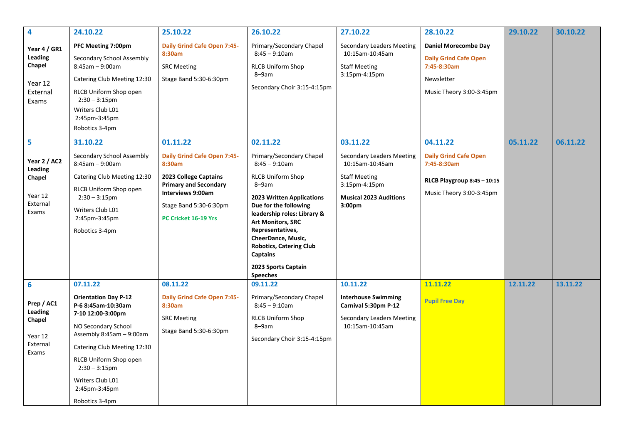| 4                                                                 | 24.10.22                                                                                                                                                                                                                                                      | 25.10.22                                                                                                                     | 26.10.22                                                                                                                                                                                                                                                                        | 27.10.22                                                                                                  | 28.10.22                                                                                                             | 29.10.22 | 30.10.22 |
|-------------------------------------------------------------------|---------------------------------------------------------------------------------------------------------------------------------------------------------------------------------------------------------------------------------------------------------------|------------------------------------------------------------------------------------------------------------------------------|---------------------------------------------------------------------------------------------------------------------------------------------------------------------------------------------------------------------------------------------------------------------------------|-----------------------------------------------------------------------------------------------------------|----------------------------------------------------------------------------------------------------------------------|----------|----------|
| Year 4 / GR1<br>Leading<br>Chapel<br>Year 12<br>External<br>Exams | PFC Meeting 7:00pm<br>Secondary School Assembly<br>$8:45am - 9:00am$<br>Catering Club Meeting 12:30<br>RLCB Uniform Shop open<br>$2:30 - 3:15$ pm<br>Writers Club L01<br>2:45pm-3:45pm<br>Robotics 3-4pm                                                      | <b>Daily Grind Cafe Open 7:45-</b><br>8:30am<br><b>SRC Meeting</b><br>Stage Band 5:30-6:30pm                                 | Primary/Secondary Chapel<br>$8:45 - 9:10am$<br><b>RLCB Uniform Shop</b><br>8-9am<br>Secondary Choir 3:15-4:15pm                                                                                                                                                                 | <b>Secondary Leaders Meeting</b><br>10:15am-10:45am<br><b>Staff Meeting</b><br>3:15pm-4:15pm              | <b>Daniel Morecombe Day</b><br><b>Daily Grind Cafe Open</b><br>7:45-8:30am<br>Newsletter<br>Music Theory 3:00-3:45pm |          |          |
| 5                                                                 | 31.10.22                                                                                                                                                                                                                                                      | 01.11.22                                                                                                                     | 02.11.22                                                                                                                                                                                                                                                                        | 03.11.22                                                                                                  | 04.11.22                                                                                                             | 05.11.22 | 06.11.22 |
| Year 2 / AC2                                                      | Secondary School Assembly<br>$8:45am - 9:00am$                                                                                                                                                                                                                | <b>Daily Grind Cafe Open 7:45-</b><br>8:30am                                                                                 | Primary/Secondary Chapel<br>$8:45 - 9:10am$                                                                                                                                                                                                                                     | <b>Secondary Leaders Meeting</b><br>10:15am-10:45am                                                       | <b>Daily Grind Cafe Open</b><br>7:45-8:30am                                                                          |          |          |
| Leading<br>Chapel<br>Year 12<br>External<br>Exams                 | Catering Club Meeting 12:30<br>RLCB Uniform Shop open<br>$2:30 - 3:15$ pm<br>Writers Club L01<br>2:45pm-3:45pm<br>Robotics 3-4pm                                                                                                                              | 2023 College Captains<br><b>Primary and Secondary</b><br>Interviews 9:00am<br>Stage Band 5:30-6:30pm<br>PC Cricket 16-19 Yrs | <b>RLCB Uniform Shop</b><br>8-9am<br><b>2023 Written Applications</b><br>Due for the following<br>leadership roles: Library &<br><b>Art Monitors, SRC</b><br>Representatives,<br>CheerDance, Music,<br><b>Robotics, Catering Club</b><br><b>Captains</b><br>2023 Sports Captain | <b>Staff Meeting</b><br>3:15pm-4:15pm<br><b>Musical 2023 Auditions</b><br>3:00 <sub>pm</sub>              | RLCB Playgroup 8:45 - 10:15<br>Music Theory 3:00-3:45pm                                                              |          |          |
| $6\phantom{1}6$                                                   | 07.11.22                                                                                                                                                                                                                                                      | 08.11.22                                                                                                                     | <b>Speeches</b><br>09.11.22                                                                                                                                                                                                                                                     | 10.11.22                                                                                                  | 11.11.22                                                                                                             | 12.11.22 | 13.11.22 |
| Prep / AC1<br>Leading<br>Chapel<br>Year 12<br>External<br>Exams   | <b>Orientation Day P-12</b><br>P-6 8:45am-10:30am<br>7-10 12:00-3:00pm<br>NO Secondary School<br>Assembly 8:45am - 9:00am<br>Catering Club Meeting 12:30<br>RLCB Uniform Shop open<br>$2:30 - 3:15$ pm<br>Writers Club L01<br>2:45pm-3:45pm<br>Robotics 3-4pm | Daily Grind Cafe Open 7:45-<br>8:30am<br><b>SRC Meeting</b><br>Stage Band 5:30-6:30pm                                        | Primary/Secondary Chapel<br>$8:45 - 9:10am$<br><b>RLCB Uniform Shop</b><br>8-9am<br>Secondary Choir 3:15-4:15pm                                                                                                                                                                 | <b>Interhouse Swimming</b><br>Carnival 5:30pm P-12<br><b>Secondary Leaders Meeting</b><br>10:15am-10:45am | <b>Pupil Free Day</b>                                                                                                |          |          |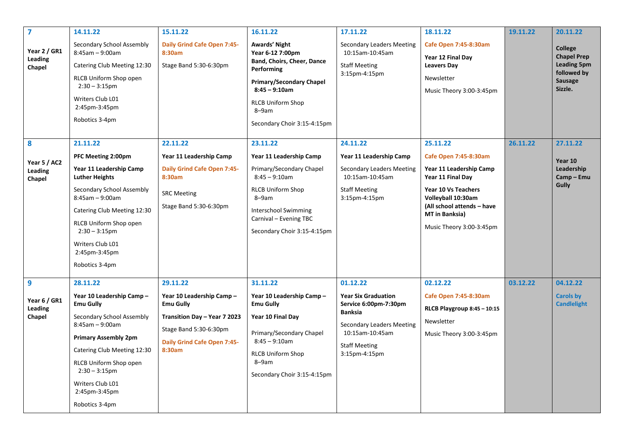| $\overline{7}$                                | 14.11.22                                                                                                                                                                                                                                                                       | 15.11.22                                                                                                                                                            | 16.11.22                                                                                                                                                                                                         | 17.11.22                                                                                                                                                                          | 18.11.22                                                                                                                                                                                                          | 19.11.22 | 20.11.22                                                                                 |
|-----------------------------------------------|--------------------------------------------------------------------------------------------------------------------------------------------------------------------------------------------------------------------------------------------------------------------------------|---------------------------------------------------------------------------------------------------------------------------------------------------------------------|------------------------------------------------------------------------------------------------------------------------------------------------------------------------------------------------------------------|-----------------------------------------------------------------------------------------------------------------------------------------------------------------------------------|-------------------------------------------------------------------------------------------------------------------------------------------------------------------------------------------------------------------|----------|------------------------------------------------------------------------------------------|
| Year 2 / GR1<br>Leading<br>Chapel             | Secondary School Assembly<br>$8:45am - 9:00am$<br>Catering Club Meeting 12:30<br>RLCB Uniform Shop open<br>$2:30 - 3:15$ pm<br>Writers Club L01<br>2:45pm-3:45pm<br>Robotics 3-4pm                                                                                             | <b>Daily Grind Cafe Open 7:45-</b><br>8:30am<br>Stage Band 5:30-6:30pm                                                                                              | Awards' Night<br>Year 6-12 7:00pm<br>Band, Choirs, Cheer, Dance<br>Performing<br><b>Primary/Secondary Chapel</b><br>$8:45 - 9:10am$<br><b>RLCB Uniform Shop</b><br>8-9am<br>Secondary Choir 3:15-4:15pm          | <b>Secondary Leaders Meeting</b><br>10:15am-10:45am<br><b>Staff Meeting</b><br>3:15pm-4:15pm                                                                                      | Cafe Open 7:45-8:30am<br>Year 12 Final Day<br><b>Leavers Day</b><br>Newsletter<br>Music Theory 3:00-3:45pm                                                                                                        |          | College<br><b>Chapel Prep</b><br><b>Leading 5pm</b><br>followed by<br>Sausage<br>Sizzle. |
| 8<br>Year 5 / AC2<br><b>Leading</b><br>Chapel | 21.11.22<br>PFC Meeting 2:00pm<br>Year 11 Leadership Camp<br><b>Luther Heights</b><br>Secondary School Assembly<br>$8:45am - 9:00am$<br>Catering Club Meeting 12:30<br>RLCB Uniform Shop open<br>$2:30 - 3:15$ pm<br>Writers Club L01<br>2:45pm-3:45pm<br>Robotics 3-4pm       | 22.11.22<br>Year 11 Leadership Camp<br><b>Daily Grind Cafe Open 7:45-</b><br>8:30am<br><b>SRC Meeting</b><br>Stage Band 5:30-6:30pm                                 | 23.11.22<br>Year 11 Leadership Camp<br>Primary/Secondary Chapel<br>$8:45 - 9:10$ am<br><b>RLCB Uniform Shop</b><br>8-9am<br><b>Interschool Swimming</b><br>Carnival - Evening TBC<br>Secondary Choir 3:15-4:15pm | 24.11.22<br>Year 11 Leadership Camp<br><b>Secondary Leaders Meeting</b><br>10:15am-10:45am<br><b>Staff Meeting</b><br>3:15pm-4:15pm                                               | 25.11.22<br>Cafe Open 7:45-8:30am<br>Year 11 Leadership Camp<br>Year 11 Final Day<br>Year 10 Vs Teachers<br>Volleyball 10:30am<br>(All school attends - have<br><b>MT</b> in Banksia)<br>Music Theory 3:00-3:45pm | 26.11.22 | 27.11.22<br>Year 10<br>Leadership<br>Camp-Emu<br><b>Gully</b>                            |
| 9<br>Year 6 / GR1<br>Leading<br>Chapel        | 28.11.22<br>Year 10 Leadership Camp -<br><b>Emu Gully</b><br>Secondary School Assembly<br>$8:45am - 9:00am$<br><b>Primary Assembly 2pm</b><br>Catering Club Meeting 12:30<br>RLCB Uniform Shop open<br>$2:30 - 3:15$ pm<br>Writers Club L01<br>2:45pm-3:45pm<br>Robotics 3-4pm | 29.11.22<br>Year 10 Leadership Camp -<br><b>Emu Gully</b><br>Transition Day - Year 7 2023<br>Stage Band 5:30-6:30pm<br><b>Daily Grind Cafe Open 7:45-</b><br>8:30am | 31.11.22<br>Year 10 Leadership Camp -<br><b>Emu Gully</b><br>Year 10 Final Day<br>Primary/Secondary Chapel<br>$8:45 - 9:10am$<br><b>RLCB Uniform Shop</b><br>8-9am<br>Secondary Choir 3:15-4:15pm                | 01.12.22<br><b>Year Six Graduation</b><br>Service 6:00pm-7:30pm<br><b>Banksia</b><br><b>Secondary Leaders Meeting</b><br>10:15am-10:45am<br><b>Staff Meeting</b><br>3:15pm-4:15pm | 02.12.22<br>Cafe Open 7:45-8:30am<br>RLCB Playgroup 8:45 - 10:15<br>Newsletter<br>Music Theory 3:00-3:45pm                                                                                                        | 03.12.22 | 04.12.22<br><b>Carols by</b><br><b>Candlelight</b>                                       |